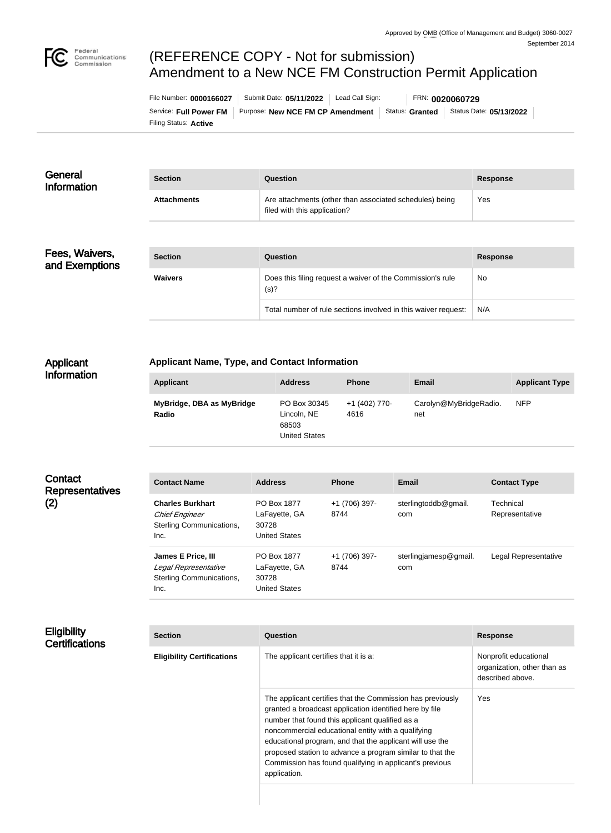

# (REFERENCE COPY - Not for submission) Amendment to a New NCE FM Construction Permit Application

Filing Status: **Active** Service: Full Power FM | Purpose: New NCE FM CP Amendment | Status: Granted | Status Date: 05/13/2022 File Number: **0000166027** Submit Date: **05/11/2022** Lead Call Sign: FRN: **0020060729**

| General<br><b>Information</b> | <b>Section</b>     | Question                                                                                | <b>Response</b> |
|-------------------------------|--------------------|-----------------------------------------------------------------------------------------|-----------------|
|                               | <b>Attachments</b> | Are attachments (other than associated schedules) being<br>filed with this application? | Yes             |

# Fees, Waivers, and Exemptions

| <b>Section</b> | Question                                                           | Response |
|----------------|--------------------------------------------------------------------|----------|
| <b>Waivers</b> | Does this filing request a waiver of the Commission's rule<br>(s)? | No       |
|                | Total number of rule sections involved in this waiver request:     | N/A      |

### Applicant Information

# **Applicant Name, Type, and Contact Information**

| Applicant                          | <b>Address</b>                                               | <b>Phone</b>          | Email                         | <b>Applicant Type</b> |
|------------------------------------|--------------------------------------------------------------|-----------------------|-------------------------------|-----------------------|
| MyBridge, DBA as MyBridge<br>Radio | PO Box 30345<br>Lincoln, NE<br>68503<br><b>United States</b> | +1 (402) 770-<br>4616 | Carolyn@MyBridgeRadio.<br>net | <b>NFP</b>            |

# **Contact Representatives** (2)

| <b>Contact Name</b>                                                                  | <b>Address</b>                                                | <b>Phone</b>          | Email                        | <b>Contact Type</b>         |
|--------------------------------------------------------------------------------------|---------------------------------------------------------------|-----------------------|------------------------------|-----------------------------|
| <b>Charles Burkhart</b><br><b>Chief Engineer</b><br>Sterling Communications,<br>Inc. | PO Box 1877<br>LaFayette, GA<br>30728<br><b>United States</b> | +1 (706) 397-<br>8744 | sterlingtoddb@gmail.<br>com  | Technical<br>Representative |
| James E Price, III<br>Legal Representative<br>Sterling Communications,<br>Inc.       | PO Box 1877<br>LaFayette, GA<br>30728<br><b>United States</b> | +1 (706) 397-<br>8744 | sterlingjamesp@gmail.<br>com | Legal Representative        |

# **Eligibility Certifications**

| <b>Section</b>                    | Question                                                                                                                                                                                                                                                                                                                                                                                                                           | <b>Response</b>                                                          |
|-----------------------------------|------------------------------------------------------------------------------------------------------------------------------------------------------------------------------------------------------------------------------------------------------------------------------------------------------------------------------------------------------------------------------------------------------------------------------------|--------------------------------------------------------------------------|
| <b>Eligibility Certifications</b> | The applicant certifies that it is a:                                                                                                                                                                                                                                                                                                                                                                                              | Nonprofit educational<br>organization, other than as<br>described above. |
|                                   | The applicant certifies that the Commission has previously<br>granted a broadcast application identified here by file<br>number that found this applicant qualified as a<br>noncommercial educational entity with a qualifying<br>educational program, and that the applicant will use the<br>proposed station to advance a program similar to that the<br>Commission has found qualifying in applicant's previous<br>application. | Yes                                                                      |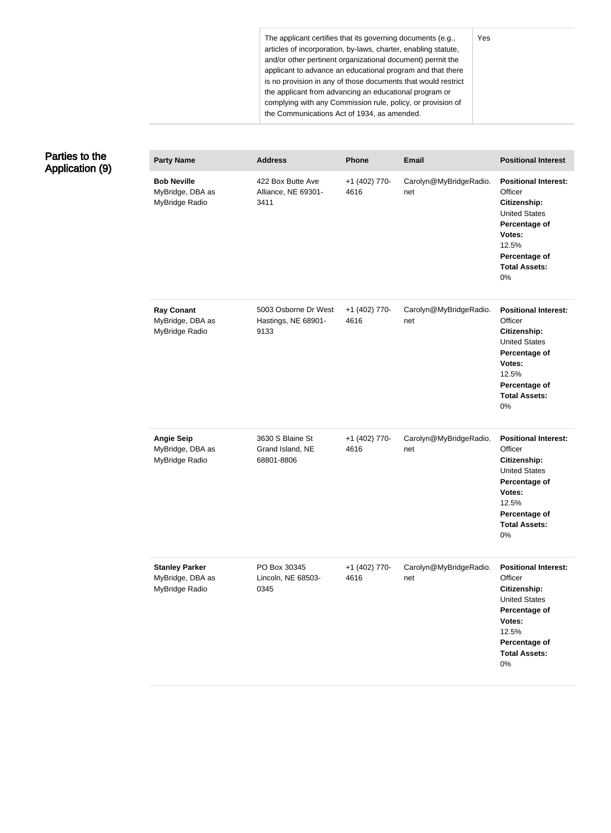The applicant certifies that its governing documents (e.g., articles of incorporation, by-laws, charter, enabling statute, and/or other pertinent organizational document) permit the applicant to advance an educational program and that there is no provision in any of those documents that would restrict the applicant from advancing an educational program or complying with any Commission rule, policy, or provision of the Communications Act of 1934, as amended.

#### Parties to the Application (9) **Party Name Address Phone Email Positional Interest Bob Neville** MyBridge, DBA as MyBridge Radio 422 Box Butte Ave Alliance, NE 69301- 3411 +1 (402) 770- 4616 Carolyn@MyBridgeRadio. net **Positional Interest: Officer Citizenship:** United States **Percentage of Votes:** 12.5% **Percentage of Total Assets:** 0% **Ray Conant** MyBridge, DBA as MyBridge Radio 5003 Osborne Dr West Hastings, NE 68901- 9133 +1 (402) 770- 4616 Carolyn@MyBridgeRadio. net **Positional Interest: Officer Citizenship:** United States **Percentage of Votes:** 12.5% **Percentage of Total Assets:** 0% **Angie Seip** MyBridge, DBA as MyBridge Radio 3630 S Blaine St Grand Island, NE 68801-8806 +1 (402) 770- 4616 Carolyn@MyBridgeRadio. net **Positional Interest: Officer Citizenship:** United States **Percentage of Votes:** 12.5% **Percentage of Total Assets:** 0% **Stanley Parker** MyBridge, DBA as MyBridge Radio PO Box 30345 Lincoln, NE 68503- 0345 +1 (402) 770- 4616 Carolyn@MyBridgeRadio. net **Positional Interest: Officer Citizenship:** United States **Percentage of Votes:** 12.5% **Percentage of Total Assets:** 0%

Yes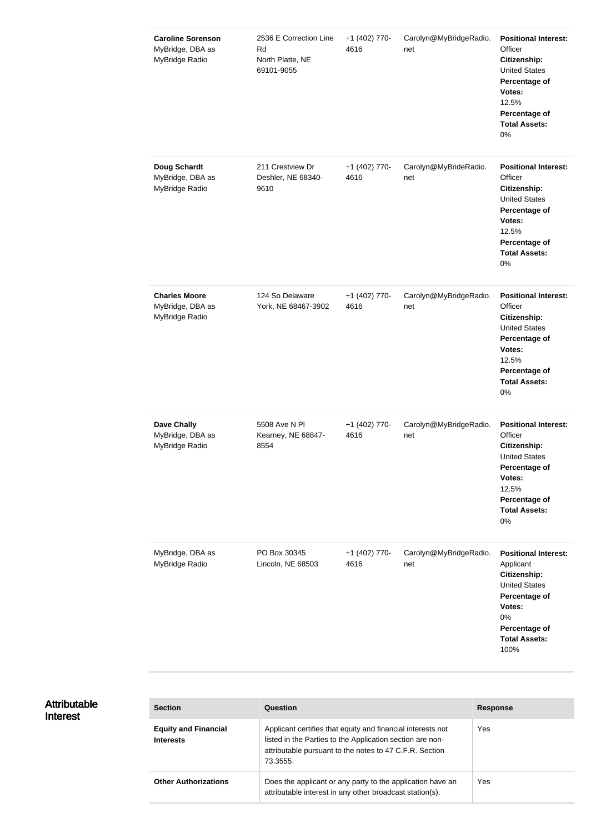| <b>Caroline Sorenson</b><br>MyBridge, DBA as<br>MyBridge Radio | 2536 E Correction Line<br>Rd<br>North Platte, NE<br>69101-9055 | +1 (402) 770-<br>4616 | Carolyn@MyBridgeRadio.<br>net | <b>Positional Interest:</b><br>Officer<br>Citizenship:<br><b>United States</b><br>Percentage of<br>Votes:<br>12.5%<br>Percentage of<br><b>Total Assets:</b><br>$0\%$ |
|----------------------------------------------------------------|----------------------------------------------------------------|-----------------------|-------------------------------|----------------------------------------------------------------------------------------------------------------------------------------------------------------------|
| <b>Doug Schardt</b><br>MyBridge, DBA as<br>MyBridge Radio      | 211 Crestview Dr<br>Deshler, NE 68340-<br>9610                 | +1 (402) 770-<br>4616 | Carolyn@MyBrideRadio.<br>net  | <b>Positional Interest:</b><br>Officer<br>Citizenship:<br><b>United States</b><br>Percentage of<br>Votes:<br>12.5%<br>Percentage of<br><b>Total Assets:</b><br>0%    |
| <b>Charles Moore</b><br>MyBridge, DBA as<br>MyBridge Radio     | 124 So Delaware<br>York, NE 68467-3902                         | +1 (402) 770-<br>4616 | Carolyn@MyBridgeRadio.<br>net | <b>Positional Interest:</b><br>Officer<br>Citizenship:<br><b>United States</b><br>Percentage of<br>Votes:<br>12.5%<br>Percentage of<br><b>Total Assets:</b><br>0%    |
| <b>Dave Chally</b><br>MyBridge, DBA as<br>MyBridge Radio       | 5508 Ave N PI<br>Kearney, NE 68847-<br>8554                    | +1 (402) 770-<br>4616 | Carolyn@MyBridgeRadio.<br>net | <b>Positional Interest:</b><br>Officer<br>Citizenship:<br><b>United States</b><br>Percentage of<br>Votes:<br>12.5%<br>Percentage of<br><b>Total Assets:</b><br>0%    |
| MyBridge, DBA as<br>MyBridge Radio                             | PO Box 30345<br>Lincoln, NE 68503                              | +1 (402) 770-<br>4616 | Carolyn@MyBridgeRadio.<br>net | <b>Positional Interest:</b><br>Applicant<br>Citizenship:<br><b>United States</b><br>Percentage of<br>Votes:<br>0%<br>Percentage of<br><b>Total Assets:</b><br>100%   |

| <b>Section</b>                                  | Question                                                                                                                                                                                        | <b>Response</b> |
|-------------------------------------------------|-------------------------------------------------------------------------------------------------------------------------------------------------------------------------------------------------|-----------------|
| <b>Equity and Financial</b><br><b>Interests</b> | Applicant certifies that equity and financial interests not<br>listed in the Parties to the Application section are non-<br>attributable pursuant to the notes to 47 C.F.R. Section<br>73.3555. | Yes             |
| <b>Other Authorizations</b>                     | Does the applicant or any party to the application have an<br>attributable interest in any other broadcast station(s).                                                                          | Yes             |

Attributable

Interest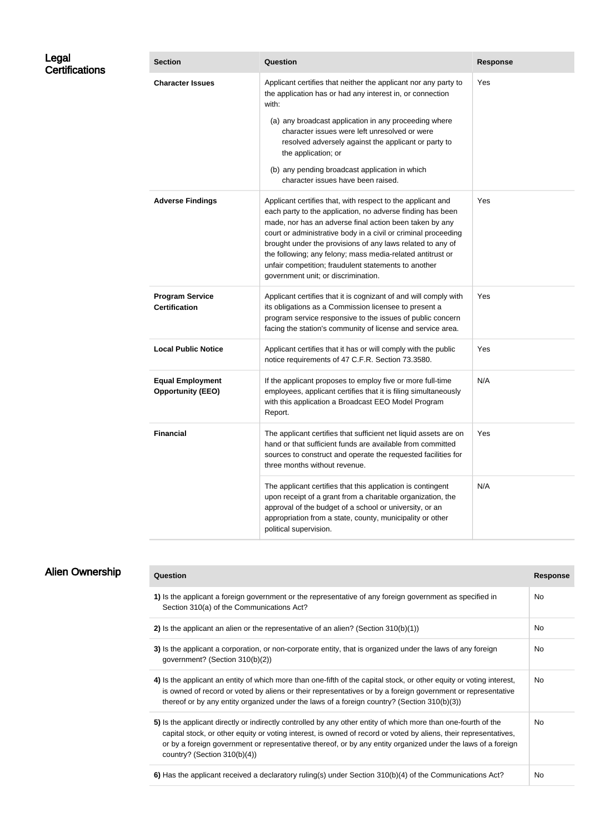| Legal<br><b>Certifications</b> | <b>Section</b>                                      | Question                                                                                                                                                                                                                                                                                                                                                                                                                                                                          | <b>Response</b> |
|--------------------------------|-----------------------------------------------------|-----------------------------------------------------------------------------------------------------------------------------------------------------------------------------------------------------------------------------------------------------------------------------------------------------------------------------------------------------------------------------------------------------------------------------------------------------------------------------------|-----------------|
|                                | <b>Character Issues</b>                             | Applicant certifies that neither the applicant nor any party to<br>the application has or had any interest in, or connection<br>with:                                                                                                                                                                                                                                                                                                                                             | Yes             |
|                                |                                                     | (a) any broadcast application in any proceeding where<br>character issues were left unresolved or were<br>resolved adversely against the applicant or party to<br>the application; or                                                                                                                                                                                                                                                                                             |                 |
|                                |                                                     | (b) any pending broadcast application in which<br>character issues have been raised.                                                                                                                                                                                                                                                                                                                                                                                              |                 |
|                                | <b>Adverse Findings</b>                             | Applicant certifies that, with respect to the applicant and<br>each party to the application, no adverse finding has been<br>made, nor has an adverse final action been taken by any<br>court or administrative body in a civil or criminal proceeding<br>brought under the provisions of any laws related to any of<br>the following; any felony; mass media-related antitrust or<br>unfair competition; fraudulent statements to another<br>government unit; or discrimination. | Yes             |
|                                | <b>Program Service</b><br><b>Certification</b>      | Applicant certifies that it is cognizant of and will comply with<br>its obligations as a Commission licensee to present a<br>program service responsive to the issues of public concern<br>facing the station's community of license and service area.                                                                                                                                                                                                                            | Yes             |
|                                | <b>Local Public Notice</b>                          | Applicant certifies that it has or will comply with the public<br>notice requirements of 47 C.F.R. Section 73.3580.                                                                                                                                                                                                                                                                                                                                                               | Yes             |
|                                | <b>Equal Employment</b><br><b>Opportunity (EEO)</b> | If the applicant proposes to employ five or more full-time<br>employees, applicant certifies that it is filing simultaneously<br>with this application a Broadcast EEO Model Program<br>Report.                                                                                                                                                                                                                                                                                   | N/A             |
|                                | <b>Financial</b>                                    | The applicant certifies that sufficient net liquid assets are on<br>hand or that sufficient funds are available from committed<br>sources to construct and operate the requested facilities for<br>three months without revenue.                                                                                                                                                                                                                                                  | Yes             |
|                                |                                                     | The applicant certifies that this application is contingent<br>upon receipt of a grant from a charitable organization, the<br>approval of the budget of a school or university, or an<br>appropriation from a state, county, municipality or other<br>political supervision.                                                                                                                                                                                                      | N/A             |
|                                |                                                     |                                                                                                                                                                                                                                                                                                                                                                                                                                                                                   |                 |

|  | <b>Alien Ownership</b> |  |
|--|------------------------|--|
|--|------------------------|--|

| Ques |
|------|
|      |

| <b>Question</b>                                                                                                                                                                                                                                                                                                                                                                       | <b>Response</b> |
|---------------------------------------------------------------------------------------------------------------------------------------------------------------------------------------------------------------------------------------------------------------------------------------------------------------------------------------------------------------------------------------|-----------------|
| 1) Is the applicant a foreign government or the representative of any foreign government as specified in<br>Section 310(a) of the Communications Act?                                                                                                                                                                                                                                 | No.             |
| 2) Is the applicant an alien or the representative of an alien? (Section $310(b)(1)$ )                                                                                                                                                                                                                                                                                                | No.             |
| 3) Is the applicant a corporation, or non-corporate entity, that is organized under the laws of any foreign<br>government? (Section 310(b)(2))                                                                                                                                                                                                                                        | No.             |
| 4) Is the applicant an entity of which more than one-fifth of the capital stock, or other equity or voting interest,<br>is owned of record or voted by aliens or their representatives or by a foreign government or representative<br>thereof or by any entity organized under the laws of a foreign country? (Section 310(b)(3))                                                    | No.             |
| 5) Is the applicant directly or indirectly controlled by any other entity of which more than one-fourth of the<br>capital stock, or other equity or voting interest, is owned of record or voted by aliens, their representatives,<br>or by a foreign government or representative thereof, or by any entity organized under the laws of a foreign<br>country? (Section $310(b)(4)$ ) | No.             |
| 6) Has the applicant received a declaratory ruling(s) under Section 310(b)(4) of the Communications Act?                                                                                                                                                                                                                                                                              | <b>No</b>       |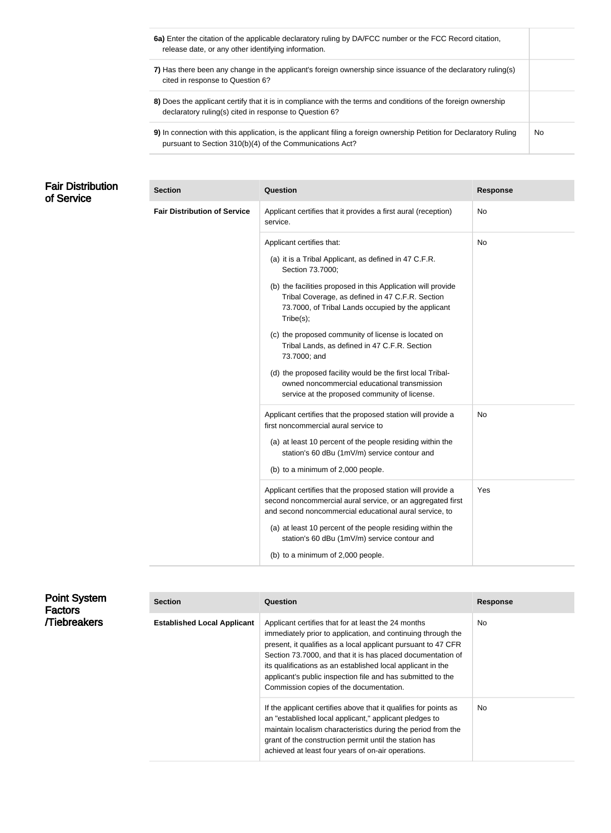| 6a) Enter the citation of the applicable declaratory ruling by DA/FCC number or the FCC Record citation,<br>release date, or any other identifying information.                 |    |
|---------------------------------------------------------------------------------------------------------------------------------------------------------------------------------|----|
| 7) Has there been any change in the applicant's foreign ownership since issuance of the declaratory ruling(s)<br>cited in response to Question 6?                               |    |
| 8) Does the applicant certify that it is in compliance with the terms and conditions of the foreign ownership<br>declaratory ruling(s) cited in response to Question 6?         |    |
| 9) In connection with this application, is the applicant filing a foreign ownership Petition for Declaratory Ruling<br>pursuant to Section 310(b)(4) of the Communications Act? | No |

# Fair Distribution of Service

| <b>Section</b>                      | Question                                                                                                                                                                             | <b>Response</b> |
|-------------------------------------|--------------------------------------------------------------------------------------------------------------------------------------------------------------------------------------|-----------------|
| <b>Fair Distribution of Service</b> | Applicant certifies that it provides a first aural (reception)<br>service.                                                                                                           | No              |
|                                     | Applicant certifies that:                                                                                                                                                            | No              |
|                                     | (a) it is a Tribal Applicant, as defined in 47 C.F.R.<br>Section 73.7000;                                                                                                            |                 |
|                                     | (b) the facilities proposed in this Application will provide<br>Tribal Coverage, as defined in 47 C.F.R. Section<br>73.7000, of Tribal Lands occupied by the applicant<br>Tribe(s);  |                 |
|                                     | (c) the proposed community of license is located on<br>Tribal Lands, as defined in 47 C.F.R. Section<br>73.7000; and                                                                 |                 |
|                                     | (d) the proposed facility would be the first local Tribal-<br>owned noncommercial educational transmission<br>service at the proposed community of license.                          |                 |
|                                     | Applicant certifies that the proposed station will provide a<br>first noncommercial aural service to                                                                                 | No              |
|                                     | (a) at least 10 percent of the people residing within the<br>station's 60 dBu (1mV/m) service contour and                                                                            |                 |
|                                     | (b) to a minimum of 2,000 people.                                                                                                                                                    |                 |
|                                     | Applicant certifies that the proposed station will provide a<br>second noncommercial aural service, or an aggregated first<br>and second noncommercial educational aural service, to | Yes             |
|                                     | (a) at least 10 percent of the people residing within the<br>station's 60 dBu (1mV/m) service contour and                                                                            |                 |
|                                     | (b) to a minimum of 2,000 people.                                                                                                                                                    |                 |

| <b>Point System</b><br><b>Factors</b> | <b>Section</b>                     | Question                                                                                                                                                                                                                                                                                                                                                                                                                     | <b>Response</b> |
|---------------------------------------|------------------------------------|------------------------------------------------------------------------------------------------------------------------------------------------------------------------------------------------------------------------------------------------------------------------------------------------------------------------------------------------------------------------------------------------------------------------------|-----------------|
| <b>Tiebreakers</b>                    | <b>Established Local Applicant</b> | Applicant certifies that for at least the 24 months<br>immediately prior to application, and continuing through the<br>present, it qualifies as a local applicant pursuant to 47 CFR<br>Section 73.7000, and that it is has placed documentation of<br>its qualifications as an established local applicant in the<br>applicant's public inspection file and has submitted to the<br>Commission copies of the documentation. | No              |
|                                       |                                    | If the applicant certifies above that it qualifies for points as<br>an "established local applicant," applicant pledges to<br>maintain localism characteristics during the period from the<br>grant of the construction permit until the station has<br>achieved at least four years of on-air operations.                                                                                                                   | <b>No</b>       |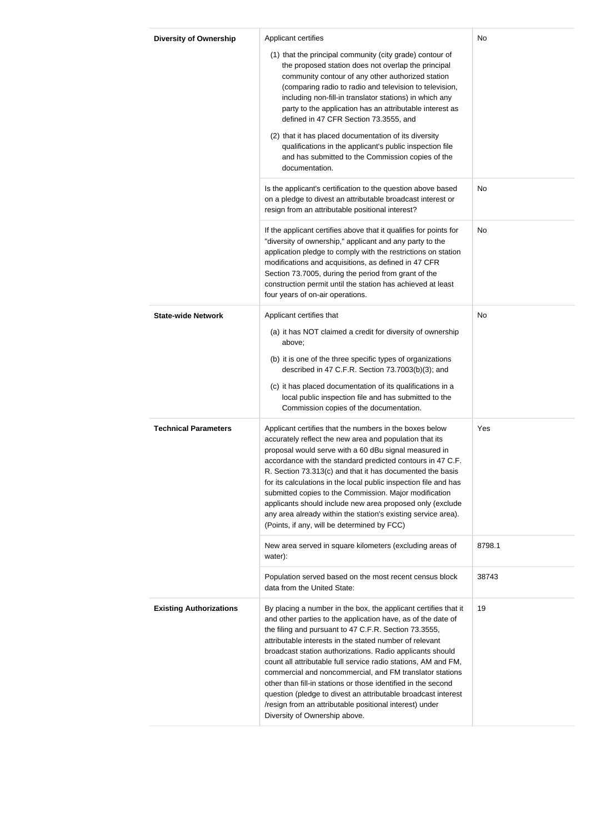| <b>Diversity of Ownership</b>  | Applicant certifies                                                                                                                                                                                                                                                                                                                                                                                                                                                                                                                                                                                                                                                          | No     |
|--------------------------------|------------------------------------------------------------------------------------------------------------------------------------------------------------------------------------------------------------------------------------------------------------------------------------------------------------------------------------------------------------------------------------------------------------------------------------------------------------------------------------------------------------------------------------------------------------------------------------------------------------------------------------------------------------------------------|--------|
|                                | (1) that the principal community (city grade) contour of<br>the proposed station does not overlap the principal<br>community contour of any other authorized station<br>(comparing radio to radio and television to television,<br>including non-fill-in translator stations) in which any<br>party to the application has an attributable interest as<br>defined in 47 CFR Section 73.3555, and                                                                                                                                                                                                                                                                             |        |
|                                | (2) that it has placed documentation of its diversity<br>qualifications in the applicant's public inspection file<br>and has submitted to the Commission copies of the<br>documentation.                                                                                                                                                                                                                                                                                                                                                                                                                                                                                     |        |
|                                | Is the applicant's certification to the question above based<br>on a pledge to divest an attributable broadcast interest or<br>resign from an attributable positional interest?                                                                                                                                                                                                                                                                                                                                                                                                                                                                                              | No     |
|                                | If the applicant certifies above that it qualifies for points for<br>"diversity of ownership," applicant and any party to the<br>application pledge to comply with the restrictions on station<br>modifications and acquisitions, as defined in 47 CFR<br>Section 73.7005, during the period from grant of the<br>construction permit until the station has achieved at least<br>four years of on-air operations.                                                                                                                                                                                                                                                            | No     |
| <b>State-wide Network</b>      | Applicant certifies that<br>(a) it has NOT claimed a credit for diversity of ownership<br>above;                                                                                                                                                                                                                                                                                                                                                                                                                                                                                                                                                                             |        |
|                                | (b) it is one of the three specific types of organizations<br>described in 47 C.F.R. Section 73.7003(b)(3); and                                                                                                                                                                                                                                                                                                                                                                                                                                                                                                                                                              |        |
|                                | (c) it has placed documentation of its qualifications in a<br>local public inspection file and has submitted to the<br>Commission copies of the documentation.                                                                                                                                                                                                                                                                                                                                                                                                                                                                                                               |        |
| <b>Technical Parameters</b>    | Applicant certifies that the numbers in the boxes below<br>accurately reflect the new area and population that its<br>proposal would serve with a 60 dBu signal measured in<br>accordance with the standard predicted contours in 47 C.F.<br>R. Section 73.313(c) and that it has documented the basis<br>for its calculations in the local public inspection file and has<br>submitted copies to the Commission. Major modification<br>applicants should include new area proposed only (exclude<br>any area already within the station's existing service area).<br>(Points, if any, will be determined by FCC)                                                            | Yes    |
|                                | New area served in square kilometers (excluding areas of<br>water):                                                                                                                                                                                                                                                                                                                                                                                                                                                                                                                                                                                                          | 8798.1 |
|                                | Population served based on the most recent census block<br>data from the United State:                                                                                                                                                                                                                                                                                                                                                                                                                                                                                                                                                                                       | 38743  |
| <b>Existing Authorizations</b> | By placing a number in the box, the applicant certifies that it<br>and other parties to the application have, as of the date of<br>the filing and pursuant to 47 C.F.R. Section 73.3555,<br>attributable interests in the stated number of relevant<br>broadcast station authorizations. Radio applicants should<br>count all attributable full service radio stations, AM and FM,<br>commercial and noncommercial, and FM translator stations<br>other than fill-in stations or those identified in the second<br>question (pledge to divest an attributable broadcast interest<br>/resign from an attributable positional interest) under<br>Diversity of Ownership above. | 19     |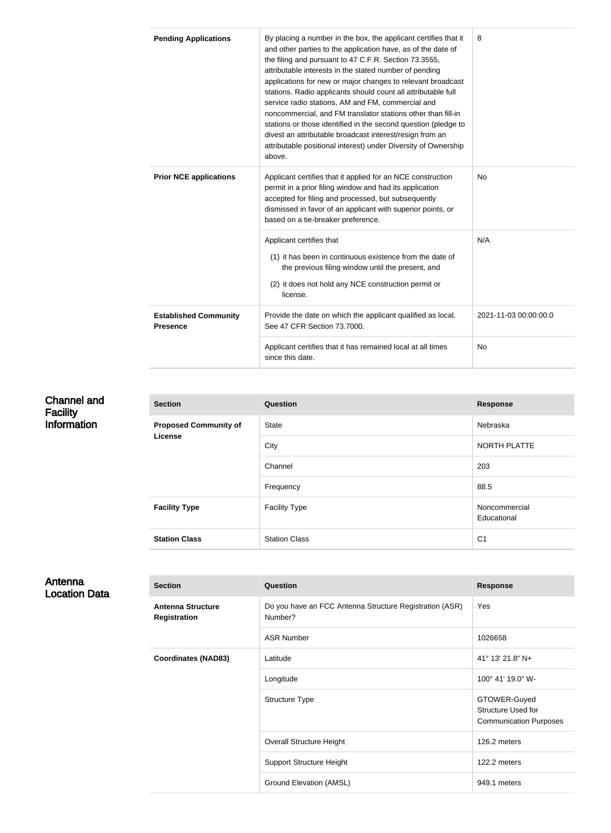| <b>Pending Applications</b>                     | By placing a number in the box, the applicant certifies that it<br>and other parties to the application have, as of the date of<br>the filing and pursuant to 47 C.F.R. Section 73.3555,<br>attributable interests in the stated number of pending<br>applications for new or major changes to relevant broadcast<br>stations. Radio applicants should count all attributable full<br>service radio stations, AM and FM, commercial and<br>noncommercial, and FM translator stations other than fill-in<br>stations or those identified in the second question (pledge to<br>divest an attributable broadcast interest/resign from an<br>attributable positional interest) under Diversity of Ownership<br>above. | 8   |
|-------------------------------------------------|-------------------------------------------------------------------------------------------------------------------------------------------------------------------------------------------------------------------------------------------------------------------------------------------------------------------------------------------------------------------------------------------------------------------------------------------------------------------------------------------------------------------------------------------------------------------------------------------------------------------------------------------------------------------------------------------------------------------|-----|
| <b>Prior NCE applications</b>                   | Applicant certifies that it applied for an NCE construction<br>permit in a prior filing window and had its application<br>accepted for filing and processed, but subsequently<br>dismissed in favor of an applicant with superior points, or<br>based on a tie-breaker preference.                                                                                                                                                                                                                                                                                                                                                                                                                                | No  |
|                                                 | Applicant certifies that<br>(1) it has been in continuous existence from the date of<br>the previous filing window until the present, and<br>(2) it does not hold any NCE construction permit or<br>license.                                                                                                                                                                                                                                                                                                                                                                                                                                                                                                      | N/A |
| <b>Established Community</b><br><b>Presence</b> | Provide the date on which the applicant qualified as local.<br>2021-11-03 00:00:00.0<br>See 47 CFR Section 73.7000.                                                                                                                                                                                                                                                                                                                                                                                                                                                                                                                                                                                               |     |
|                                                 | Applicant certifies that it has remained local at all times<br>since this date.                                                                                                                                                                                                                                                                                                                                                                                                                                                                                                                                                                                                                                   | No  |

#### Channel and **Facility Information Section Question Response Proposed Community of License** State Nebraska City **NORTH PLATTE** Channel 203 Frequency 88.5 **Facility Type Facility Type Facility Type Reserves Reserves All Abondommercial** Educational **Station Class** Station Class Station Class C1

# Antenna Location Data

| <b>Section</b>                                  | Question                                                           | <b>Response</b>                                                     |
|-------------------------------------------------|--------------------------------------------------------------------|---------------------------------------------------------------------|
| <b>Antenna Structure</b><br><b>Registration</b> | Do you have an FCC Antenna Structure Registration (ASR)<br>Number? | Yes                                                                 |
|                                                 | <b>ASR Number</b>                                                  | 1026658                                                             |
| <b>Coordinates (NAD83)</b>                      | Latitude                                                           | 41° 13' 21.8" N+                                                    |
|                                                 | Longitude                                                          | 100° 41' 19.0" W-                                                   |
|                                                 | <b>Structure Type</b>                                              | GTOWER-Guyed<br>Structure Used for<br><b>Communication Purposes</b> |
|                                                 | <b>Overall Structure Height</b>                                    | 126.2 meters                                                        |
|                                                 | <b>Support Structure Height</b>                                    | 122.2 meters                                                        |
|                                                 | Ground Elevation (AMSL)                                            | 949.1 meters                                                        |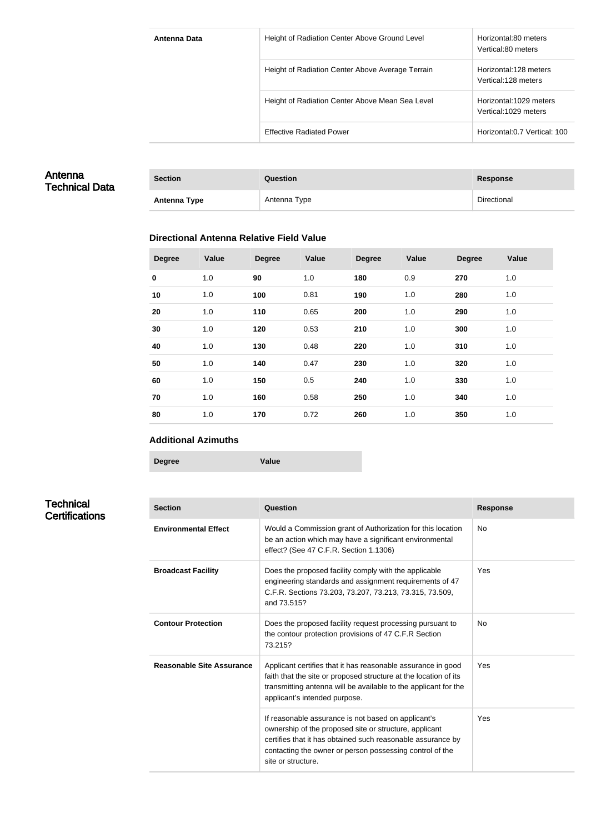| Antenna Data | Height of Radiation Center Above Ground Level    | Horizontal:80 meters<br>Vertical:80 meters     |
|--------------|--------------------------------------------------|------------------------------------------------|
|              | Height of Radiation Center Above Average Terrain | Horizontal:128 meters<br>Vertical:128 meters   |
|              | Height of Radiation Center Above Mean Sea Level  | Horizontal:1029 meters<br>Vertical:1029 meters |
|              | <b>Effective Radiated Power</b>                  | Horizontal: 0.7 Vertical: 100                  |

# Antenna Technical Data

| <b>Section</b> | <b>Question</b> | Response    |
|----------------|-----------------|-------------|
| Antenna Type   | Antenna Type    | Directional |

#### **Directional Antenna Relative Field Value**

| <b>Degree</b> | <b>Value</b> | <b>Degree</b> | Value | <b>Degree</b> | Value | <b>Degree</b> | Value |
|---------------|--------------|---------------|-------|---------------|-------|---------------|-------|
| $\mathbf 0$   | 1.0          | 90            | 1.0   | 180           | 0.9   | 270           | 1.0   |
| 10            | 1.0          | 100           | 0.81  | 190           | 1.0   | 280           | 1.0   |
| 20            | 1.0          | 110           | 0.65  | 200           | 1.0   | 290           | 1.0   |
| 30            | 1.0          | 120           | 0.53  | 210           | 1.0   | 300           | 1.0   |
| 40            | 1.0          | 130           | 0.48  | 220           | 1.0   | 310           | 1.0   |
| 50            | 1.0          | 140           | 0.47  | 230           | 1.0   | 320           | 1.0   |
| 60            | 1.0          | 150           | 0.5   | 240           | 1.0   | 330           | 1.0   |
| 70            | 1.0          | 160           | 0.58  | 250           | 1.0   | 340           | 1.0   |
| 80            | 1.0          | 170           | 0.72  | 260           | 1.0   | 350           | 1.0   |

#### **Additional Azimuths**

**Degree Value**

# **Technical Certifications**

| <b>Section</b>              | Question                                                                                                                                                                                                                                                       | <b>Response</b> |
|-----------------------------|----------------------------------------------------------------------------------------------------------------------------------------------------------------------------------------------------------------------------------------------------------------|-----------------|
| <b>Environmental Effect</b> | Would a Commission grant of Authorization for this location<br>be an action which may have a significant environmental<br>effect? (See 47 C.F.R. Section 1.1306)                                                                                               | <b>No</b>       |
| <b>Broadcast Facility</b>   | Does the proposed facility comply with the applicable<br>engineering standards and assignment requirements of 47<br>C.F.R. Sections 73.203, 73.207, 73.213, 73.315, 73.509,<br>and 73.515?                                                                     | Yes             |
| <b>Contour Protection</b>   | Does the proposed facility request processing pursuant to<br>the contour protection provisions of 47 C.F.R Section<br>73.215?                                                                                                                                  | No.             |
| Reasonable Site Assurance   | Applicant certifies that it has reasonable assurance in good<br>faith that the site or proposed structure at the location of its<br>transmitting antenna will be available to the applicant for the<br>applicant's intended purpose.                           | Yes             |
|                             | If reasonable assurance is not based on applicant's<br>ownership of the proposed site or structure, applicant<br>certifies that it has obtained such reasonable assurance by<br>contacting the owner or person possessing control of the<br>site or structure. | Yes             |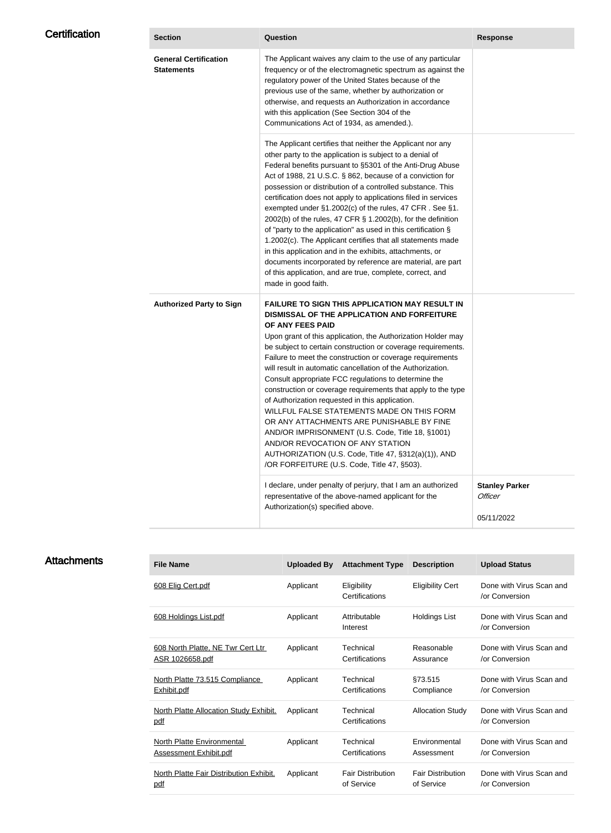| <b>Certification</b> | <b>Section</b>                                    | Question                                                                                                                                                                                                                                                                                                                                                                                                                                                                                                                                                                                                                                                                                                                                                                                                                                                  | <b>Response</b>                                |
|----------------------|---------------------------------------------------|-----------------------------------------------------------------------------------------------------------------------------------------------------------------------------------------------------------------------------------------------------------------------------------------------------------------------------------------------------------------------------------------------------------------------------------------------------------------------------------------------------------------------------------------------------------------------------------------------------------------------------------------------------------------------------------------------------------------------------------------------------------------------------------------------------------------------------------------------------------|------------------------------------------------|
|                      | <b>General Certification</b><br><b>Statements</b> | The Applicant waives any claim to the use of any particular<br>frequency or of the electromagnetic spectrum as against the<br>regulatory power of the United States because of the<br>previous use of the same, whether by authorization or<br>otherwise, and requests an Authorization in accordance<br>with this application (See Section 304 of the<br>Communications Act of 1934, as amended.).                                                                                                                                                                                                                                                                                                                                                                                                                                                       |                                                |
|                      |                                                   | The Applicant certifies that neither the Applicant nor any<br>other party to the application is subject to a denial of<br>Federal benefits pursuant to §5301 of the Anti-Drug Abuse<br>Act of 1988, 21 U.S.C. § 862, because of a conviction for<br>possession or distribution of a controlled substance. This<br>certification does not apply to applications filed in services<br>exempted under §1.2002(c) of the rules, 47 CFR. See §1.<br>2002(b) of the rules, 47 CFR § 1.2002(b), for the definition<br>of "party to the application" as used in this certification §<br>1.2002(c). The Applicant certifies that all statements made<br>in this application and in the exhibits, attachments, or<br>documents incorporated by reference are material, are part<br>of this application, and are true, complete, correct, and<br>made in good faith. |                                                |
|                      | <b>Authorized Party to Sign</b>                   | <b>FAILURE TO SIGN THIS APPLICATION MAY RESULT IN</b><br>DISMISSAL OF THE APPLICATION AND FORFEITURE<br>OF ANY FEES PAID<br>Upon grant of this application, the Authorization Holder may<br>be subject to certain construction or coverage requirements.<br>Failure to meet the construction or coverage requirements<br>will result in automatic cancellation of the Authorization.<br>Consult appropriate FCC regulations to determine the<br>construction or coverage requirements that apply to the type<br>of Authorization requested in this application.<br>WILLFUL FALSE STATEMENTS MADE ON THIS FORM<br>OR ANY ATTACHMENTS ARE PUNISHABLE BY FINE<br>AND/OR IMPRISONMENT (U.S. Code, Title 18, §1001)<br>AND/OR REVOCATION OF ANY STATION<br>AUTHORIZATION (U.S. Code, Title 47, §312(a)(1)), AND<br>/OR FORFEITURE (U.S. Code, Title 47, §503). |                                                |
|                      |                                                   | I declare, under penalty of perjury, that I am an authorized<br>representative of the above-named applicant for the<br>Authorization(s) specified above.                                                                                                                                                                                                                                                                                                                                                                                                                                                                                                                                                                                                                                                                                                  | <b>Stanley Parker</b><br>Officer<br>05/11/2022 |

# **Attachments**

| <b>File Name</b>                              | <b>Uploaded By</b> | <b>Attachment Type</b>        | <b>Description</b>       | <b>Upload Status</b>                       |
|-----------------------------------------------|--------------------|-------------------------------|--------------------------|--------------------------------------------|
| 608 Elig Cert.pdf                             | Applicant          | Eligibility<br>Certifications | <b>Eligibility Cert</b>  | Done with Virus Scan and<br>/or Conversion |
| 608 Holdings List.pdf                         | Applicant          | Attributable<br>Interest      | <b>Holdings List</b>     | Done with Virus Scan and<br>/or Conversion |
| 608 North Platte, NE Twr Cert Ltr             | Applicant          | Technical                     | Reasonable               | Done with Virus Scan and                   |
| <u>ASR 1026658.pdf</u>                        |                    | Certifications                | Assurance                | /or Conversion                             |
| North Platte 73.515 Compliance                | Applicant          | Technical                     | §73.515                  | Done with Virus Scan and                   |
| Exhibit.pdf                                   |                    | Certifications                | Compliance               | /or Conversion                             |
| North Platte Allocation Study Exhibit.<br>pdf | Applicant          | Technical<br>Certifications   | <b>Allocation Study</b>  | Done with Virus Scan and<br>or Conversion  |
| <b>North Platte Environmental</b>             | Applicant          | Technical                     | Environmental            | Done with Virus Scan and                   |
| <b>Assessment Exhibit.pdf</b>                 |                    | Certifications                | Assessment               | or Conversion                              |
| North Platte Fair Distribution Exhibit.       | Applicant          | <b>Fair Distribution</b>      | <b>Fair Distribution</b> | Done with Virus Scan and                   |
| pdf                                           |                    | of Service                    | of Service               | or Conversion                              |